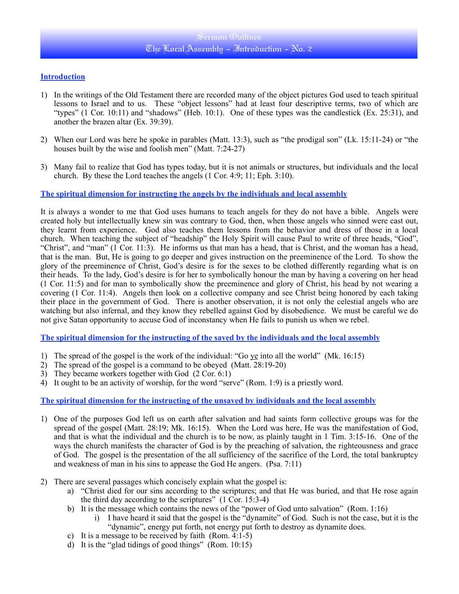# Sermon Outlines The Local Assembly - Introduction - No. 2

### **Introduction**

- 1) In the writings of the Old Testament there are recorded many of the object pictures God used to teach spiritual lessons to Israel and to us. These "object lessons" had at least four descriptive terms, two of which are "types" (1 Cor. 10:11) and "shadows" (Heb. 10:1). One of these types was the candlestick (Ex. 25:31), and another the brazen altar (Ex. 39:39).
- 2) When our Lord was here he spoke in parables (Matt. 13:3), such as "the prodigal son" (Lk. 15:11-24) or "the houses built by the wise and foolish men" (Matt. 7:24-27)
- 3) Many fail to realize that God has types today, but it is not animals or structures, but individuals and the local church. By these the Lord teaches the angels (1 Cor. 4:9; 11; Eph. 3:10).

**The spiritual dimension for instructing the angels by the individuals and local assembly**

It is always a wonder to me that God uses humans to teach angels for they do not have a bible. Angels were created holy but intellectually knew sin was contrary to God, then, when those angels who sinned were cast out, they learnt from experience. God also teaches them lessons from the behavior and dress of those in a local church. When teaching the subject of "headship" the Holy Spirit will cause Paul to write of three heads, "God", "Christ", and "man" (1 Cor. 11:3). He informs us that man has a head, that is Christ, and the woman has a head, that is the man. But, He is going to go deeper and gives instruction on the preeminence of the Lord. To show the glory of the preeminence of Christ, God's desire is for the sexes to be clothed differently regarding what is on their heads. To the lady, God's desire is for her to symbolically honour the man by having a covering on her head (1 Cor. 11:5) and for man to symbolically show the preeminence and glory of Christ, his head by not wearing a covering (1 Cor. 11:4). Angels then look on a collective company and see Christ being honored by each taking their place in the government of God. There is another observation, it is not only the celestial angels who are watching but also infernal, and they know they rebelled against God by disobedience. We must be careful we do not give Satan opportunity to accuse God of inconstancy when He fails to punish us when we rebel.

**The spiritual dimension for the instructing of the saved by the individuals and the local assembly**

- 1) The spread of the gospel is the work of the individual: "Go ye into all the world" (Mk. 16:15)
- 2) The spread of the gospel is a command to be obeyed (Matt. 28:19-20)
- 3) They became workers together with God (2 Cor. 6:1)
- 4) It ought to be an activity of worship, for the word "serve" (Rom. 1:9) is a priestly word.

**The spiritual dimension for the instructing of the unsaved by individuals and the local assembly**

- 1) One of the purposes God left us on earth after salvation and had saints form collective groups was for the spread of the gospel (Matt. 28:19; Mk. 16:15). When the Lord was here, He was the manifestation of God, and that is what the individual and the church is to be now, as plainly taught in 1 Tim. 3:15-16. One of the ways the church manifests the character of God is by the preaching of salvation, the righteousness and grace of God. The gospel is the presentation of the all sufficiency of the sacrifice of the Lord, the total bankruptcy and weakness of man in his sins to appease the God He angers. (Psa. 7:11)
- 2) There are several passages which concisely explain what the gospel is:
	- a) "Christ died for our sins according to the scriptures; and that He was buried, and that He rose again the third day according to the scriptures"  $(1 \text{ Cor. } 15:3-4)$
	- b) It is the message which contains the news of the "power of God unto salvation" (Rom. 1:16)
		- i) I have heard it said that the gospel is the "dynamite" of God. Such is not the case, but it is the "dynamic", energy put forth, not energy put forth to destroy as dynamite does.
	- c) It is a message to be received by faith  $(Rom. 4:1-5)$
	- d) It is the "glad tidings of good things" (Rom. 10:15)